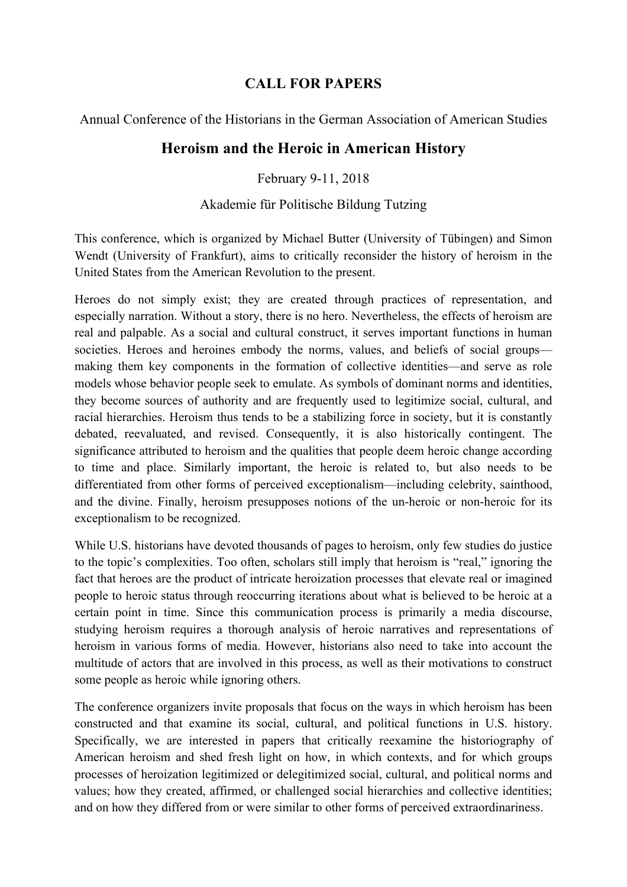## **CALL FOR PAPERS**

Annual Conference of the Historians in the German Association of American Studies

## **Heroism and the Heroic in American History**

February 9-11, 2018

## Akademie für Politische Bildung Tutzing

This conference, which is organized by Michael Butter (University of Tübingen) and Simon Wendt (University of Frankfurt), aims to critically reconsider the history of heroism in the United States from the American Revolution to the present.

Heroes do not simply exist; they are created through practices of representation, and especially narration. Without a story, there is no hero. Nevertheless, the effects of heroism are real and palpable. As a social and cultural construct, it serves important functions in human societies. Heroes and heroines embody the norms, values, and beliefs of social groups making them key components in the formation of collective identities—and serve as role models whose behavior people seek to emulate. As symbols of dominant norms and identities, they become sources of authority and are frequently used to legitimize social, cultural, and racial hierarchies. Heroism thus tends to be a stabilizing force in society, but it is constantly debated, reevaluated, and revised. Consequently, it is also historically contingent. The significance attributed to heroism and the qualities that people deem heroic change according to time and place. Similarly important, the heroic is related to, but also needs to be differentiated from other forms of perceived exceptionalism—including celebrity, sainthood, and the divine. Finally, heroism presupposes notions of the un-heroic or non-heroic for its exceptionalism to be recognized.

While U.S. historians have devoted thousands of pages to heroism, only few studies do justice to the topic's complexities. Too often, scholars still imply that heroism is "real," ignoring the fact that heroes are the product of intricate heroization processes that elevate real or imagined people to heroic status through reoccurring iterations about what is believed to be heroic at a certain point in time. Since this communication process is primarily a media discourse, studying heroism requires a thorough analysis of heroic narratives and representations of heroism in various forms of media. However, historians also need to take into account the multitude of actors that are involved in this process, as well as their motivations to construct some people as heroic while ignoring others.

The conference organizers invite proposals that focus on the ways in which heroism has been constructed and that examine its social, cultural, and political functions in U.S. history. Specifically, we are interested in papers that critically reexamine the historiography of American heroism and shed fresh light on how, in which contexts, and for which groups processes of heroization legitimized or delegitimized social, cultural, and political norms and values; how they created, affirmed, or challenged social hierarchies and collective identities; and on how they differed from or were similar to other forms of perceived extraordinariness.